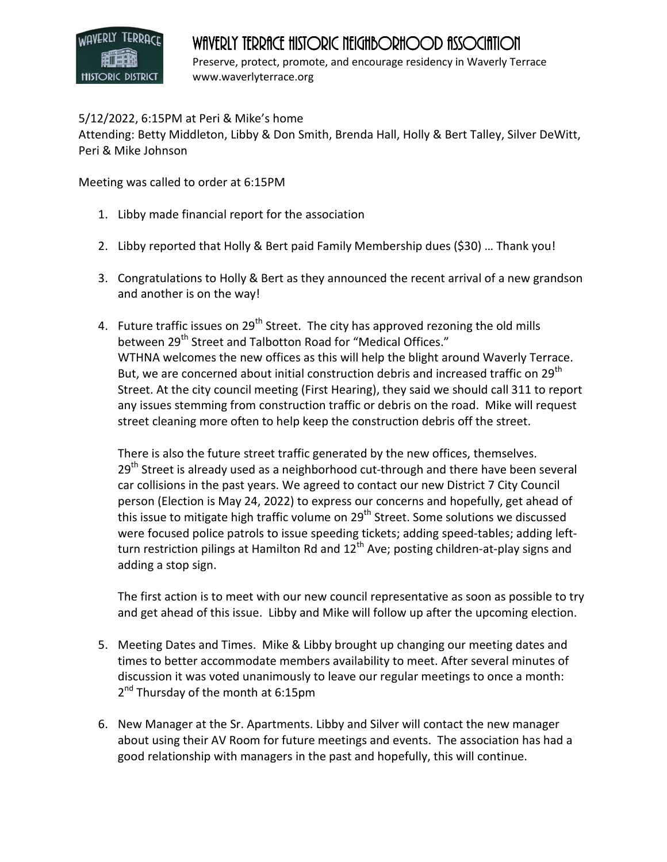## **HISTORIC DISTRICT**

## WAVERLY TERRACE HISTORIC NEIGHBORHOOD ASSOCIATION

Preserve, protect, promote, and encourage residency in Waverly Terrace www.waverlyterrace.org

## 5/12/2022, 6:15PM at Peri & Mike's home

Attending: Betty Middleton, Libby & Don Smith, Brenda Hall, Holly & Bert Talley, Silver DeWitt, Peri & Mike Johnson

Meeting was called to order at 6:15PM

- 1. Libby made financial report for the association
- 2. Libby reported that Holly & Bert paid Family Membership dues (\$30) … Thank you!
- 3. Congratulations to Holly & Bert as they announced the recent arrival of a new grandson and another is on the way!
- 4. Future traffic issues on 29<sup>th</sup> Street. The city has approved rezoning the old mills between 29<sup>th</sup> Street and Talbotton Road for "Medical Offices." WTHNA welcomes the new offices as this will help the blight around Waverly Terrace. But, we are concerned about initial construction debris and increased traffic on  $29^{\text{th}}$ Street. At the city council meeting (First Hearing), they said we should call 311 to report any issues stemming from construction traffic or debris on the road. Mike will request street cleaning more often to help keep the construction debris off the street.

There is also the future street traffic generated by the new offices, themselves. 29<sup>th</sup> Street is already used as a neighborhood cut-through and there have been several car collisions in the past years. We agreed to contact our new District 7 City Council person (Election is May 24, 2022) to express our concerns and hopefully, get ahead of this issue to mitigate high traffic volume on 29<sup>th</sup> Street. Some solutions we discussed were focused police patrols to issue speeding tickets; adding speed-tables; adding leftturn restriction pilings at Hamilton Rd and  $12<sup>th</sup>$  Ave; posting children-at-play signs and adding a stop sign.

The first action is to meet with our new council representative as soon as possible to try and get ahead of this issue. Libby and Mike will follow up after the upcoming election.

- 5. Meeting Dates and Times. Mike & Libby brought up changing our meeting dates and times to better accommodate members availability to meet. After several minutes of discussion it was voted unanimously to leave our regular meetings to once a month: 2<sup>nd</sup> Thursday of the month at 6:15pm
- 6. New Manager at the Sr. Apartments. Libby and Silver will contact the new manager about using their AV Room for future meetings and events. The association has had a good relationship with managers in the past and hopefully, this will continue.